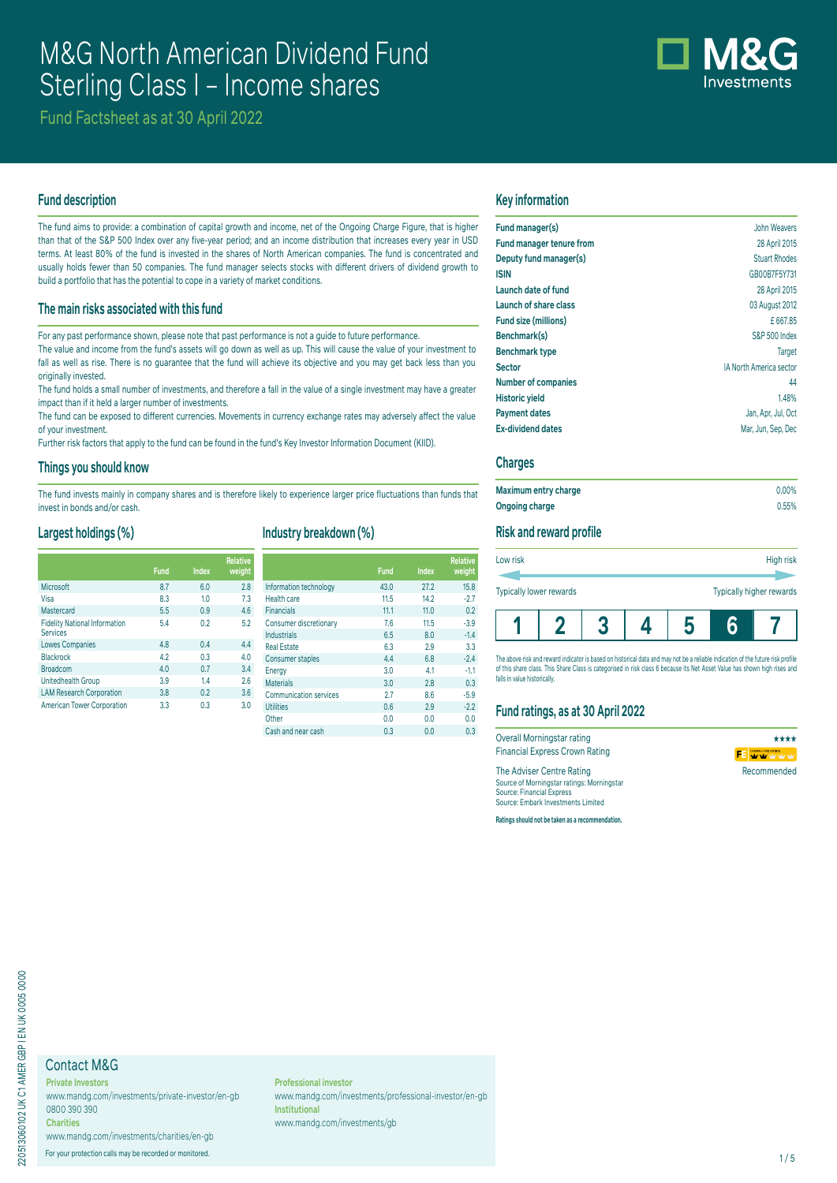# M&G North American Dividend Fund Sterling Class I – Income shares

Fund Factsheet as at 30 April 2022

### **Fund description**

The fund aims to provide: a combination of capital growth and income, net of the Ongoing Charge Figure, that is higher than that of the S&P 500 Index over any five-year period; and an income distribution that increases every year in USD terms. At least 80% of the fund is invested in the shares of North American companies. The fund is concentrated and usually holds fewer than 50 companies. The fund manager selects stocks with different drivers of dividend growth to build a portfolio that has the potential to cope in a variety of market conditions.

#### **The main risks associated with this fund**

For any past performance shown, please note that past performance is not a guide to future performance.

The value and income from the fund's assets will go down as well as up. This will cause the value of your investment to fall as well as rise. There is no guarantee that the fund will achieve its objective and you may get back less than you originally invested.

The fund holds a small number of investments, and therefore a fall in the value of a single investment may have a greater impact than if it held a larger number of investments.

The fund can be exposed to different currencies. Movements in currency exchange rates may adversely affect the value of your investment.

Further risk factors that apply to the fund can be found in the fund's Key Investor Information Document (KIID).

#### **Things you should know**

The fund invests mainly in company shares and is therefore likely to experience larger price fluctuations than funds that invest in bonds and/or cash.

### **Largest holdings (%)**

|                                                         | <b>Fund</b> | <b>Index</b> | <b>Relative</b><br>weight |
|---------------------------------------------------------|-------------|--------------|---------------------------|
| Microsoft                                               | 8.7         | 6.0          | 2.8                       |
| Visa                                                    | 8.3         | 1.0          | 7.3                       |
| Mastercard                                              | 5.5         | 0.9          | 4.6                       |
| <b>Fidelity National Information</b><br><b>Services</b> | 5.4         | 0.2          | 5.2                       |
| <b>Lowes Companies</b>                                  | 4.8         | 0.4          | 4.4                       |
| Blackrock                                               | 4.2         | 0.3          | 4.0                       |
| <b>Broadcom</b>                                         | 4.0         | 0.7          | 3.4                       |
| Unitedhealth Group                                      | 3.9         | 14           | 2.6                       |
| <b>LAM Research Corporation</b>                         | 3.8         | 0.2          | 3.6                       |

| Industry breakdown (%) |  |
|------------------------|--|
|------------------------|--|

|                                      | <b>Fund</b> | <b>Index</b> | <b>Relative</b><br>weight |                               | <b>Fund</b> | <b>Index</b> | <b>Relative</b><br>weight |
|--------------------------------------|-------------|--------------|---------------------------|-------------------------------|-------------|--------------|---------------------------|
| Microsoft                            | 8.7         | 6.0          | 2.8                       | Information technology        | 43.0        | 27.2         | 15.8                      |
| Visa                                 | 8.3         | 1.0          | 7.3                       | Health care                   | 11.5        | 14.2         | $-2.7$                    |
| Mastercard                           | 5.5         | 0.9          | 4.6                       | <b>Financials</b>             | 11.1        | 11.0         | 0.2                       |
| <b>Fidelity National Information</b> | 5.4         | 0.2          | 5.2                       | Consumer discretionary        | 7.6         | 11.5         | $-3.9$                    |
| <b>Services</b>                      |             |              |                           | <b>Industrials</b>            | 6.5         | 8.0          | $-1.4$                    |
| <b>Lowes Companies</b>               | 4.8         | 0.4          | 4.4                       | <b>Real Estate</b>            | 6.3         | 2.9          | 3.3                       |
| Blackrock                            | 4.2         | 0.3          | 4.0                       | <b>Consumer staples</b>       | 4.4         | 6.8          | $-2.4$                    |
| <b>Broadcom</b>                      | 4.0         | 0.7          | 3.4                       | Energy                        | 3.0         | 4.1          | $-1.1$                    |
| Unitedhealth Group                   | 3.9         | 1.4          | 2.6                       | <b>Materials</b>              | 3.0         | 2.8          | 0.3                       |
| <b>LAM Research Corporation</b>      | 3.8         | 0.2          | 3.6                       | <b>Communication services</b> | 2.7         | 8.6          | $-5.9$                    |
| <b>American Tower Corporation</b>    | 3.3         | 0.3          | 3.0                       | <b>Utilities</b>              | 0.6         | 2.9          | $-2.2$                    |
|                                      |             |              |                           | Other                         | 0.0         | 0.0          | 0.0                       |
|                                      |             |              |                           | Cash and near cash            | 0.3         | 0.0          | 0.3                       |

### **Key information**

| Fund manager(s)                 | John Weavers                   |
|---------------------------------|--------------------------------|
| <b>Fund manager tenure from</b> | 28 April 2015                  |
| Deputy fund manager(s)          | <b>Stuart Rhodes</b>           |
| <b>ISIN</b>                     | GB00B7F5Y731                   |
| Launch date of fund             | 28 April 2015                  |
| Launch of share class           | 03 August 2012                 |
| Fund size (millions)            | £667.85                        |
| Benchmark(s)                    | <b>S&amp;P 500 Index</b>       |
| <b>Benchmark type</b>           | <b>Target</b>                  |
| <b>Sector</b>                   | <b>IA North America sector</b> |
| <b>Number of companies</b>      | 44                             |
| <b>Historic yield</b>           | 1.48%                          |
| <b>Payment dates</b>            | Jan, Apr, Jul, Oct             |
| <b>Ex-dividend dates</b>        | Mar, Jun, Sep, Dec             |
|                                 |                                |

#### **Charges**

| Maximum entry charge | $0.00\%$ |
|----------------------|----------|
| Ongoing charge       | 0.55%    |

#### **Risk and reward profile**

| Low risk                |  |  | High risk                |
|-------------------------|--|--|--------------------------|
| Typically lower rewards |  |  | Typically higher rewards |
|                         |  |  |                          |

The above risk and reward indicator is based on historical data and may not be a reliable indication of the future risk profile of this share class. This Share Class is categorised in risk class 6 because its Net Asset Value has shown high rises and falls in value historically

# **Fund ratings, as at 30 April 2022**

| Overall Morningstar rating                 | ****                 |
|--------------------------------------------|----------------------|
| <b>Financial Express Crown Rating</b>      | <b>FE</b> WY W W W W |
| The Adviser Centre Rating                  | Recommended          |
| Source of Morningstar ratings: Morningstar |                      |
| <b>Source: Financial Express</b>           |                      |
| Source: Embark Investments Limited         |                      |

**Ratings should not be taken as a recommendation.**

# Contact M&G

**Charities**

**Private Investors** www.mandg.com/investments/private-investor/en-gb 0800 390 390

www.mandg.com/investments/charities/en-gb For your protection calls may be recorded or monitored. 1/5

**Professional investor** www.mandg.com/investments/professional-investor/en-gb **Institutional** www.mandg.com/investments/gb

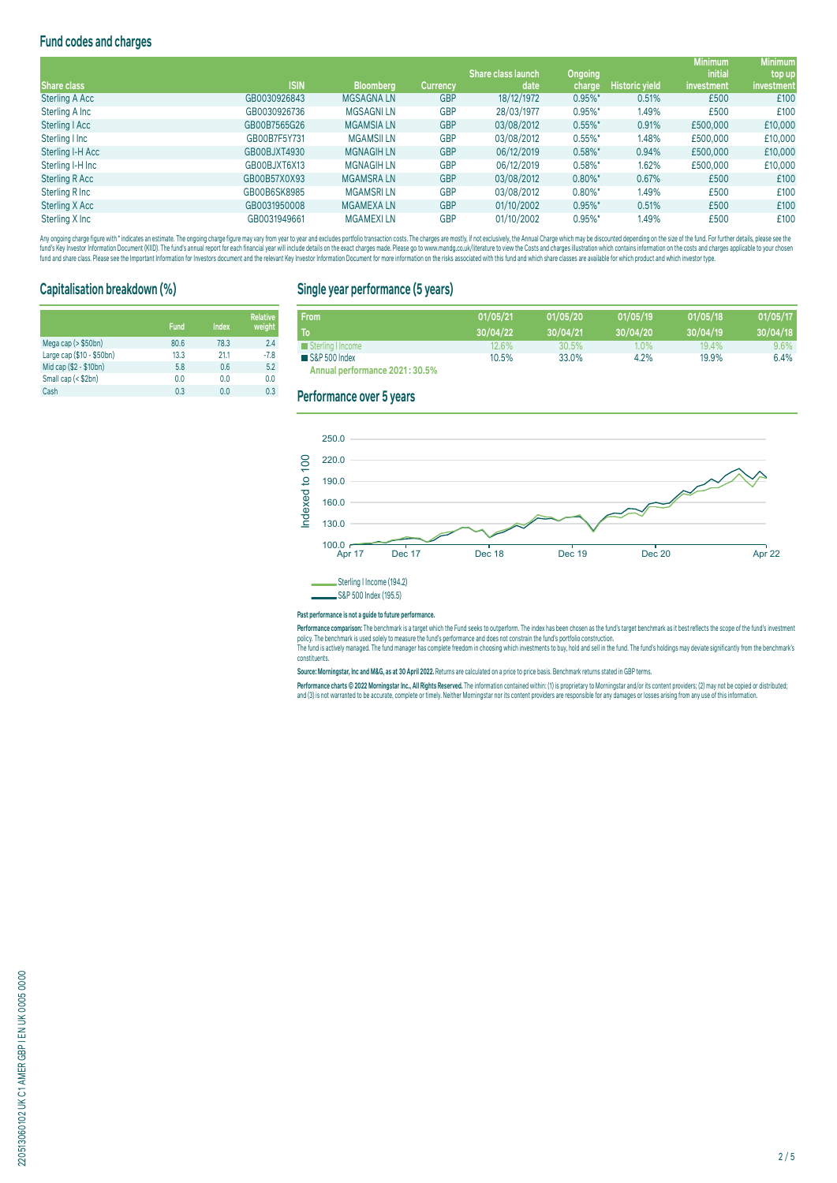# **Fund codes and charges**

|                    |              |                   |                 | <b>Share class launch</b> | Ongoing    |                       | <b>Minimum</b><br><i>initial</i> | <b>Minimum</b><br>top up |
|--------------------|--------------|-------------------|-----------------|---------------------------|------------|-----------------------|----------------------------------|--------------------------|
| <b>Share class</b> | <b>ISIN</b>  | <b>Bloomberg</b>  | <b>Currency</b> | date                      | charge     | <b>Historic yield</b> | investment                       | investment,              |
| Sterling A Acc     | GB0030926843 | <b>MGSAGNALN</b>  | <b>GBP</b>      | 18/12/1972                | $0.95\%$ * | 0.51%                 | £500                             | £100                     |
| Sterling A Inc     | GB0030926736 | <b>MGSAGNILN</b>  | <b>GBP</b>      | 28/03/1977                | $0.95\%$ * | 1.49%                 | £500                             | £100                     |
| Sterling   Acc     | GB00B7565G26 | <b>MGAMSIALN</b>  | <b>GBP</b>      | 03/08/2012                | $0.55\%$ * | 0.91%                 | £500,000                         | £10,000                  |
| Sterling I Inc     | GB00B7F5Y731 | <b>MGAMSILLN</b>  | <b>GBP</b>      | 03/08/2012                | $0.55\%$ * | 1.48%                 | £500,000                         | £10,000                  |
| Sterling I-H Acc   | GB00BJXT4930 | <b>MGNAGIH LN</b> | <b>GBP</b>      | 06/12/2019                | $0.58\%$ * | 0.94%                 | £500,000                         | £10,000                  |
| Sterling I-H Inc   | GB00BJXT6X13 | <b>MGNAGIH LN</b> | <b>GBP</b>      | 06/12/2019                | $0.58\%$ * | 1.62%                 | £500,000                         | £10,000                  |
| Sterling R Acc     | GB00B57X0X93 | <b>MGAMSRALN</b>  | <b>GBP</b>      | 03/08/2012                | $0.80\%$ * | 0.67%                 | £500                             | £100                     |
| Sterling R Inc     | GB00B6SK8985 | <b>MGAMSRILN</b>  | <b>GBP</b>      | 03/08/2012                | $0.80\%$ * | 1.49%                 | £500                             | £100                     |
| Sterling X Acc     | GB0031950008 | <b>MGAMEXALN</b>  | <b>GBP</b>      | 01/10/2002                | $0.95\%$ * | 0.51%                 | £500                             | £100                     |
| Sterling X Inc     | GB0031949661 | <b>MGAMEXILN</b>  | <b>GBP</b>      | 01/10/2002                | $0.95\%$ * | 1.49%                 | £500                             | £100                     |

Any ongoing charge figure with "indicates an estimate. The ongoing charge figure may vary from year to year and excludes portfolio transaction costs. The charges are mostly, if not exclusively, the Annual Charge which may fund's Key Investor Information Document (KIID). The fund's annual report for each financial year will include details on the exact charges made. Please go to www.mandg.co.uk/literature to view the Costs and charges injust

## **Capitalisation breakdown (%)**

|                           | <b>Fund</b> | Index | <b>Relative</b><br>weight |
|---------------------------|-------------|-------|---------------------------|
| Mega cap (> \$50bn)       | 80.6        | 78.3  | 2.4                       |
| Large cap (\$10 - \$50bn) | 13.3        | 21.1  | $-7.8$                    |
| Mid cap (\$2 - \$10bn)    | 5.8         | 0.6   | 5.2                       |
| Small cap (< \$2bn)       | 0.0         | 0.0   | 0.0                       |
| Cash                      | 0.3         | 0.0   | 0.3                       |

### **Single year performance (5 years)**

| <b>From</b>                    | 01/05/21 | 01/05/20 | 01/05/19 | 01/05/18 | 01/05/17 |
|--------------------------------|----------|----------|----------|----------|----------|
| То                             | 30/04/22 | 30/04/21 | 30/04/20 | 30/04/19 | 30/04/18 |
| Sterling I Income              | 12.6%    | 30.5%    | $1.0\%$  | 19.4%    | 9.6%     |
| S&P 500 Index                  | 10.5%    | 33.0%    | 4.2%     | 19.9%    | 6.4%     |
| Annual performance 2021: 30.5% |          |          |          |          |          |

#### **Performance over 5 years**



#### **Past performance is not a guide to future performance.**

rerrormance comparison: The benchmark is a target which the Thing season outperform. The modern as the personal man and the modern and the modern and the modern and the modern and the modern and the modern and the modern a constituents.

**Source: Morningstar, Inc and M&G, as at 30 April 2022.** Returns are calculated on a price to price basis. Benchmark returns stated in GBP terms.

Performance charts © 2022 Morningstar Inc., All Rights Reserved. The information contained within: (1) is proprietary to Morningstar and/or its content providers; (2) may not be copied or distributed; and (3) is not warranted to be accurate, complete or timely. Neither Morningstar nor its content providers are responsible for any damages or losses arising from any use of this information.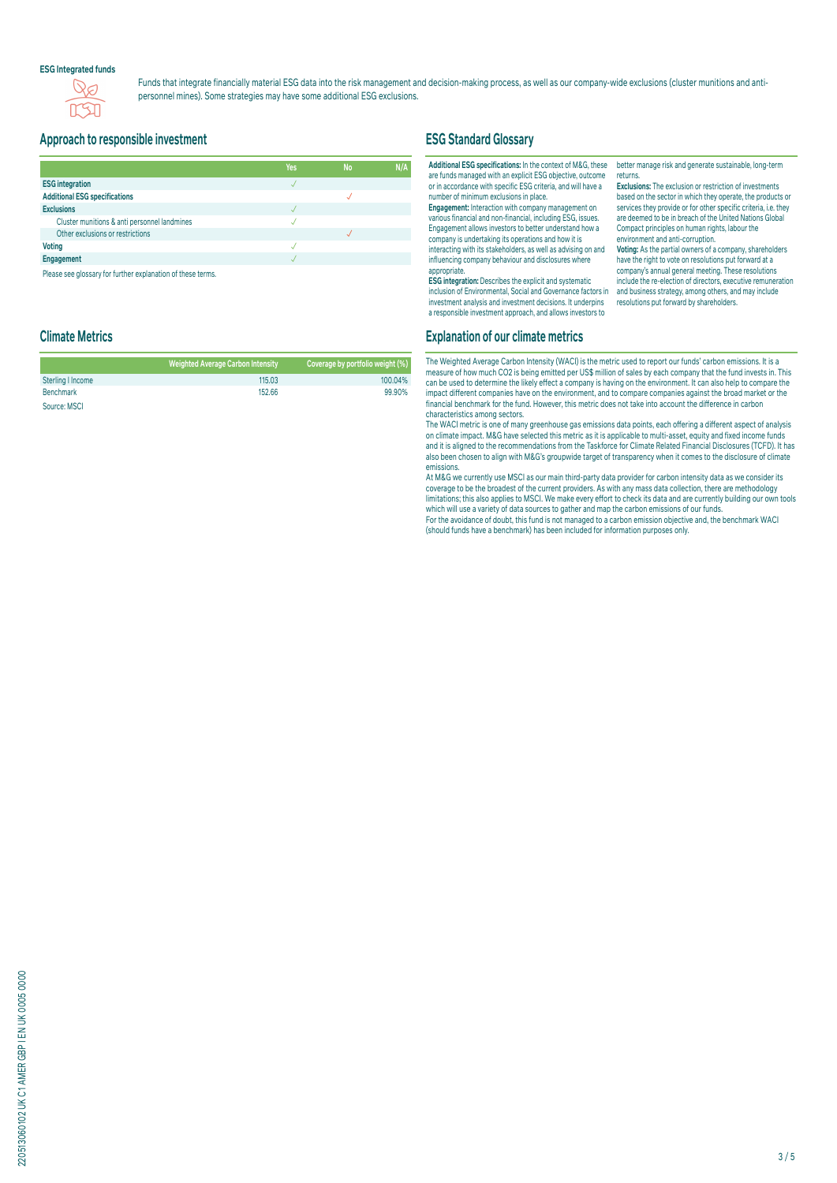#### **ESG Integrated funds**



Funds that integrate financially material ESG data into the risk management and decision-making process, as well as our company-wide exclusions (cluster munitions and antipersonnel mines). Some strategies may have some additional ESG exclusions.

#### **Approach to responsible investment**

|                                                                                                                                                                                                                                | Yes | <b>No</b> | N/A |
|--------------------------------------------------------------------------------------------------------------------------------------------------------------------------------------------------------------------------------|-----|-----------|-----|
| <b>ESG</b> integration                                                                                                                                                                                                         |     |           |     |
| <b>Additional ESG specifications</b>                                                                                                                                                                                           |     |           |     |
| <b>Exclusions</b>                                                                                                                                                                                                              |     |           |     |
| Cluster munitions & anti personnel landmines                                                                                                                                                                                   |     |           |     |
| Other exclusions or restrictions                                                                                                                                                                                               |     |           |     |
| <b>Voting</b>                                                                                                                                                                                                                  |     |           |     |
| Engagement                                                                                                                                                                                                                     |     |           |     |
| District and a substantial problem in the contract of the continues of the contract of the contract of the contract of the contract of the contract of the contract of the contract of the contract of the contract of the con |     |           |     |

Please see glossary for further explanation of these terms

### **ESG Standard Glossary**

**Additional ESG specifications:** In the context of M&G, these are funds managed with an explicit ESG objective, outcome or in accordance with specific ESG criteria, and will have a number of minimum exclusions in place.

**Engagement:** Interaction with company management on various financial and non-financial, including ESG, issues. Engagement allows investors to better understand how a company is undertaking its operations and how it is interacting with its stakeholders, as well as advising on and influencing company behaviour and disclosures where

appropriate. **ESG integration:** Describes the explicit and systematic inclusion of Environmental, Social and Governance factors in investment analysis and investment decisions. It underpins a responsible investment approach, and allows investors to

better manage risk and generate sustainable, long-term returns.

**Exclusions:** The exclusion or restriction of investments based on the sector in which they operate, the products or services they provide or for other specific criteria, i.e. they are deemed to be in breach of the United Nations Global Compact principles on human rights, labour the environment and anti-corruption.

**Voting:** As the partial owners of a company, shareholders have the right to vote on resolutions put forward at a company's annual general meeting. These resolutions include the re-election of directors, executive remuneration and business strategy, among others, and may include resolutions put forward by shareholders.

# **Climate Metrics**

|                   | <b>Weighted Average Carbon Intensity</b> | Coverage by portfolio weight (%) |
|-------------------|------------------------------------------|----------------------------------|
| Sterling I Income | 115.03                                   | 100.04%                          |
| <b>Benchmark</b>  | 152.66                                   | 99.90%                           |
| Source: MSCI      |                                          |                                  |

# **Explanation of our climate metrics**

The Weighted Average Carbon Intensity (WACI) is the metric used to report our funds' carbon emissions. It is a measure of how much CO2 is being emitted per US\$ million of sales by each company that the fund invests in. This can be used to determine the likely effect a company is having on the environment. It can also help to compare the impact different companies have on the environment, and to compare companies against the broad market or the financial benchmark for the fund. However, this metric does not take into account the difference in carbon characteristics among sectors.

The WACI metric is one of many greenhouse gas emissions data points, each offering a different aspect of analysis on climate impact. M&G have selected this metric as it is applicable to multi-asset, equity and fixed income funds and it is aligned to the recommendations from the Taskforce for Climate Related Financial Disclosures (TCFD). It has also been chosen to align with M&G's groupwide target of transparency when it comes to the disclosure of climate emissions.

At M&G we currently use MSCI as our main third-party data provider for carbon intensity data as we consider its coverage to be the broadest of the current providers. As with any mass data collection, there are methodology limitations; this also applies to MSCI. We make every effort to check its data and are currently building our own tools which will use a variety of data sources to gather and map the carbon emissions of our funds. For the avoidance of doubt, this fund is not managed to a carbon emission objective and, the benchmark WACI (should funds have a benchmark) has been included for information purposes only.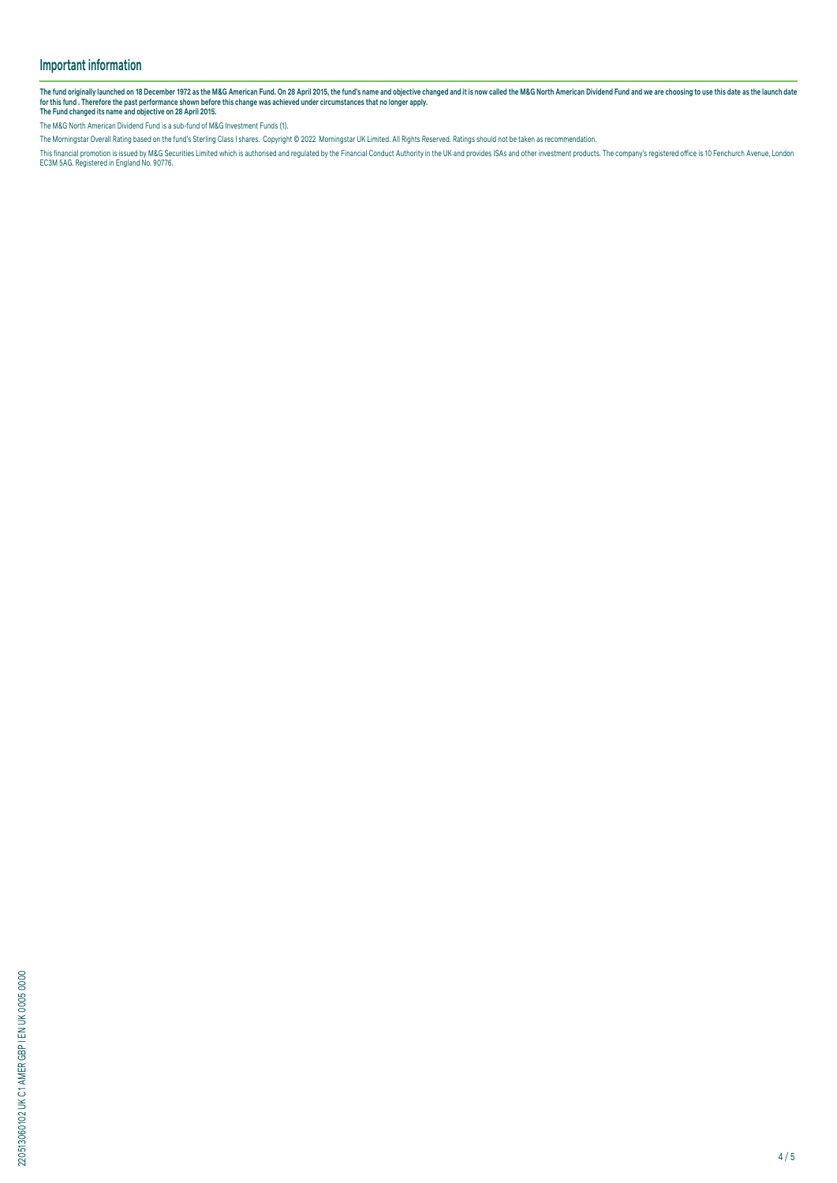# **Important information**

The fund originally launched on 18 December 1972 as the M&G American Fund. On 28 April 2015, the fund's name and objective changed and it is now called the M&G North American Dividend Fund and we are choosing to use this d

The M&G North American Dividend Fund is a sub-fund of M&G Investment Funds (1).

The Morningstar Overall Rating based on the fund's Sterling Class I shares. Copyright © 2022 Morningstar UK Limited. All Rights Reserved. Ratings should not be taken as recommendation.

This financial promotion is issued by M&G Securities Limited which is authorised and regulated by the Financial Conduct Authority in the UK and provides ISAS and other investment products. The company's registered office i